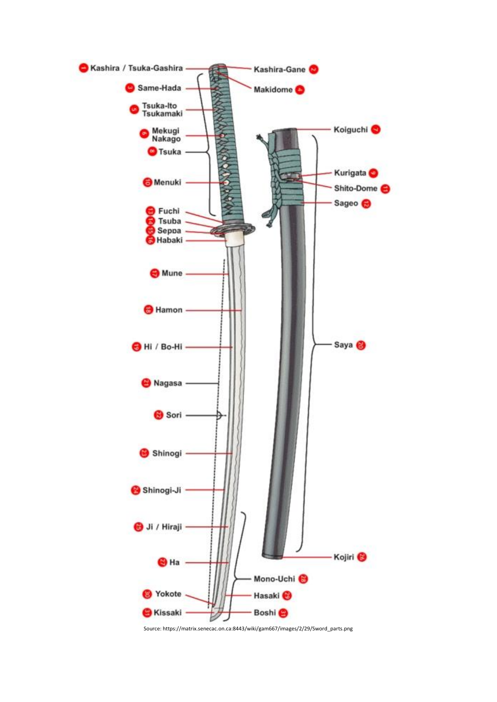

Source: https://matrix.senecac.on.ca:8443/wiki/gam667/images/2/29/Sword\_parts.png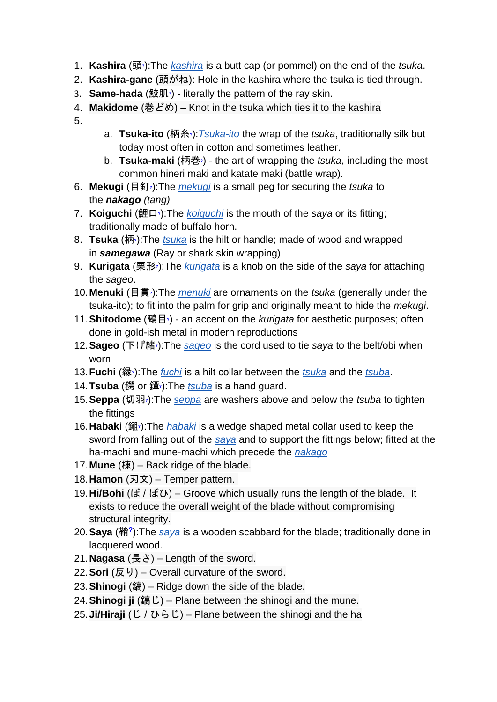- 1. **Kashira** ([頭](https://www.wikiwand.com/en/Help:Installing_Japanese_character_sets)**?**):The *[kashira](https://commons.wikimedia.org/wiki/category:Kashira)* is a butt cap (or pommel) on the end of the *tsuka*.
- 2. **Kashira-gane** (頭がね): Hole in the kashira where the tsuka is tied through.
- 3. **Same-hada** (鮫[肌](https://www.wikiwand.com/en/Help:Installing_Japanese_character_sets)**?**) literally the pattern of the ray skin.
- 4. **Makidome** (巻どめ) Knot in the tsuka which ties it to the kashira
- 5.
- a. **Tsuka-ito** (柄糸**?**[\)](https://www.wikiwand.com/en/Help:Installing_Japanese_character_sets):*[Tsuka-ito](https://commons.wikimedia.org/wiki/Category:Tsuka-ito)* the wrap of the *tsuka*, traditionally silk but today most often in cotton and sometimes leather.
- b. **Tsuka-maki** (柄[巻](https://www.wikiwand.com/en/Help:Installing_Japanese_character_sets)**?**) the art of wrapping the *tsuka*, including the most common hineri maki and katate maki (battle wrap).
- 6. **Mekugi** (目釘**?**[\)](https://www.wikiwand.com/en/Help:Installing_Japanese_character_sets):The *[mekugi](https://commons.wikimedia.org/wiki/category:Mekugi)* is a small peg for securing the *tsuka* to the *nakago (tang)*
- 7. **Koiguchi** (鯉口**?**[\)](https://www.wikiwand.com/en/Help:Installing_Japanese_character_sets):The *[koiguchi](https://commons.wikimedia.org/wiki/category:Koiguchi)* is the mouth of the *saya* or its fitting; traditionally made of buffalo horn.
- 8. **Tsuka** (柄**?**[\)](https://www.wikiwand.com/en/Help:Installing_Japanese_character_sets):The *[tsuka](https://commons.wikimedia.org/wiki/category:Tsuka)* is the hilt or handle; made of wood and wrapped in *samegawa* (Ray or shark skin wrapping)
- 9. **Kurigata** (栗形**?**[\)](https://www.wikiwand.com/en/Help:Installing_Japanese_character_sets):The *[kurigata](https://commons.wikimedia.org/wiki/category:Kurikata)* is a knob on the side of the *saya* for attaching the *sageo*.
- 10.**Menuki** (目貫**?**[\)](https://www.wikiwand.com/en/Help:Installing_Japanese_character_sets):The *[menuki](https://commons.wikimedia.org/wiki/category:menuki:)* are ornaments on the *tsuka* (generally under the tsuka-ito); to fit into the palm for grip and originally meant to hide the *mekugi*.
- 11.**Shitodome** (鵐[目](https://www.wikiwand.com/en/Help:Installing_Japanese_character_sets)**?**) an accent on the *kurigata* for aesthetic purposes; often done in gold-ish metal in modern reproductions
- 12.**Sageo** (下げ[緒](https://www.wikiwand.com/en/Help:Installing_Japanese_character_sets)**?**):The *[sageo](https://commons.wikimedia.org/wiki/category:Sageo)* is the cord used to tie *saya* to the belt/obi when worn
- 13.**Fuchi** ([縁](https://www.wikiwand.com/en/Help:Installing_Japanese_character_sets)**?**):The *[fuchi](https://commons.wikimedia.org/wiki/category:Fuchi)* is a hilt collar between the *[tsuka](https://commons.wikimedia.org/wiki/category:Tsuka)* and the *[tsuba](https://commons.wikimedia.org/wiki/category:Tsuba)*.
- 14.**Tsuba** (鍔 or 鐔**?**[\)](https://www.wikiwand.com/en/Help:Installing_Japanese_character_sets):The *[tsuba](https://commons.wikimedia.org/wiki/category:Tsuba)* is a hand guard.
- 15.**Seppa** (切[羽](https://www.wikiwand.com/en/Help:Installing_Japanese_character_sets)**?**):The *[seppa](https://commons.wikimedia.org/wiki/category:Seppa)* are washers above and below the *tsuba* to tighten the fittings
- 16.**Habaki** ([鎺](https://www.wikiwand.com/en/Help:Installing_Japanese_character_sets)**?**):The *[habaki](https://commons.wikimedia.org/wiki/category:Habaki)* is a wedge shaped metal collar used to keep the sword from falling out of the *[saya](https://commons.wikimedia.org/wiki/category:Saya)* and to support the fittings below; fitted at the ha-machi and mune-machi which precede the *[nakago](https://commons.wikimedia.org/wiki/category:Nakago)*
- 17.**Mune** (棟) Back ridge of the blade.
- 18.**Hamon** (刃文) Temper pattern.
- 19.**Hi/Bohi** (ぼ / ぼひ) Groove which usually runs the length of the blade. It exists to reduce the overall weight of the blade without compromising structural integrity.
- 20.**Saya** (鞘**[?](https://www.wikiwand.com/en/Help:Installing_Japanese_character_sets)** ):The *[saya](https://commons.wikimedia.org/wiki/category:Saya)* is a wooden scabbard for the blade; traditionally done in lacquered wood.
- 21.**Nagasa** (長さ) Length of the sword.
- 22.**Sori** (反り) Overall curvature of the sword.
- 23.**Shinogi** (鎬) Ridge down the side of the blade.
- 24.**Shinogi ji** (鎬じ) Plane between the shinogi and the mune.
- 25.**Ji/Hiraji** (じ / ひらじ) Plane between the shinogi and the ha